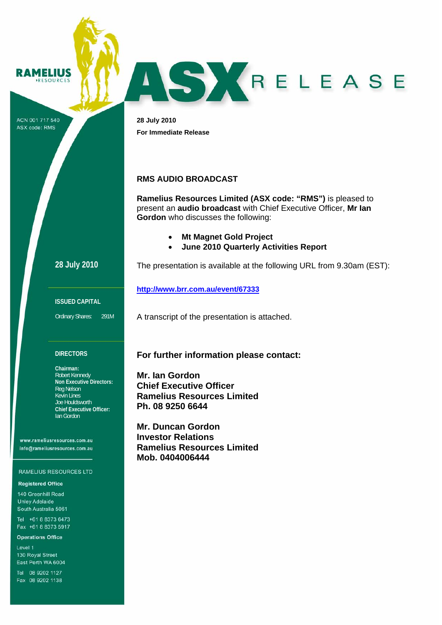

ACN 001 717 540 ASX code: RMS

**28 July 2010 For Immediate Release** 

### **RMS AUDIO BROADCAST**

**Ramelius Resources Limited (ASX code: "RMS")** is pleased to present an **audio broadcast** with Chief Executive Officer, **Mr Ian Gordon** who discusses the following:

ASYRELEASE

- **Mt Magnet Gold Project**
- **June 2010 Quarterly Activities Report**

The presentation is available at the following URL from 9.30am (EST):

**28 July 2010**

**ISSUED CAPITAL** 

Ordinary Shares: 291M

#### **DIRECTORS**

**Chairman:**  Robert Kennedy **Non Executive Directors:**  Reg Nelson Kevin Lines Joe Houldsworth **Chief Executive Officer:**  Ian Gordon

www.rameliusresources.com.au info@rameliusresources.com.au

#### RAMELIUS RESOURCES LTD

**Registered Office** 

140 Greenhill Road **Unley Adelaide** South Australia 5061

Tel +61 8 8373 6473 Fax +61 8 8373 5917

**Operations Office** 

Level 1 130 Royal Street East Perth WA 6004

Tel 08 9202 1127 Fax 08 9202 1138

# **For further information please contact:**

A transcript of the presentation is attached.

**Mr. Ian Gordon Chief Executive Officer Ramelius Resources Limited Ph. 08 9250 6644** 

**http://www.brr.com.au/event/67333** 

**Mr. Duncan Gordon Investor Relations Ramelius Resources Limited Mob. 0404006444**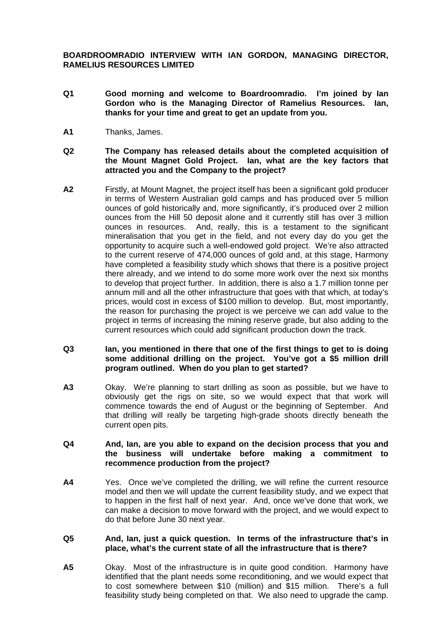**BOARDROOMRADIO INTERVIEW WITH IAN GORDON, MANAGING DIRECTOR, RAMELIUS RESOURCES LIMITED** 

- **Q1 Good morning and welcome to Boardroomradio. I'm joined by Ian Gordon who is the Managing Director of Ramelius Resources. Ian, thanks for your time and great to get an update from you.**
- **A1** Thanks, James.
- **Q2 The Company has released details about the completed acquisition of the Mount Magnet Gold Project. Ian, what are the key factors that attracted you and the Company to the project?**
- **A2** Firstly, at Mount Magnet, the project itself has been a significant gold producer in terms of Western Australian gold camps and has produced over 5 million ounces of gold historically and, more significantly, it's produced over 2 million ounces from the Hill 50 deposit alone and it currently still has over 3 million ounces in resources. And, really, this is a testament to the significant mineralisation that you get in the field, and not every day do you get the opportunity to acquire such a well-endowed gold project. We're also attracted to the current reserve of 474,000 ounces of gold and, at this stage, Harmony have completed a feasibility study which shows that there is a positive project there already, and we intend to do some more work over the next six months to develop that project further. In addition, there is also a 1.7 million tonne per annum mill and all the other infrastructure that goes with that which, at today's prices, would cost in excess of \$100 million to develop. But, most importantly, the reason for purchasing the project is we perceive we can add value to the project in terms of increasing the mining reserve grade, but also adding to the current resources which could add significant production down the track.
- **Q3 Ian, you mentioned in there that one of the first things to get to is doing some additional drilling on the project. You've got a \$5 million drill program outlined. When do you plan to get started?**
- **A3** Okay. We're planning to start drilling as soon as possible, but we have to obviously get the rigs on site, so we would expect that that work will commence towards the end of August or the beginning of September. And that drilling will really be targeting high-grade shoots directly beneath the current open pits.

# **Q4 And, Ian, are you able to expand on the decision process that you and the business will undertake before making a commitment to recommence production from the project?**

**A4** Yes. Once we've completed the drilling, we will refine the current resource model and then we will update the current feasibility study, and we expect that to happen in the first half of next year. And, once we've done that work, we can make a decision to move forward with the project, and we would expect to do that before June 30 next year.

### **Q5 And, Ian, just a quick question. In terms of the infrastructure that's in place, what's the current state of all the infrastructure that is there?**

**A5** Okay. Most of the infrastructure is in quite good condition. Harmony have identified that the plant needs some reconditioning, and we would expect that to cost somewhere between \$10 (million) and \$15 million. There's a full feasibility study being completed on that. We also need to upgrade the camp.